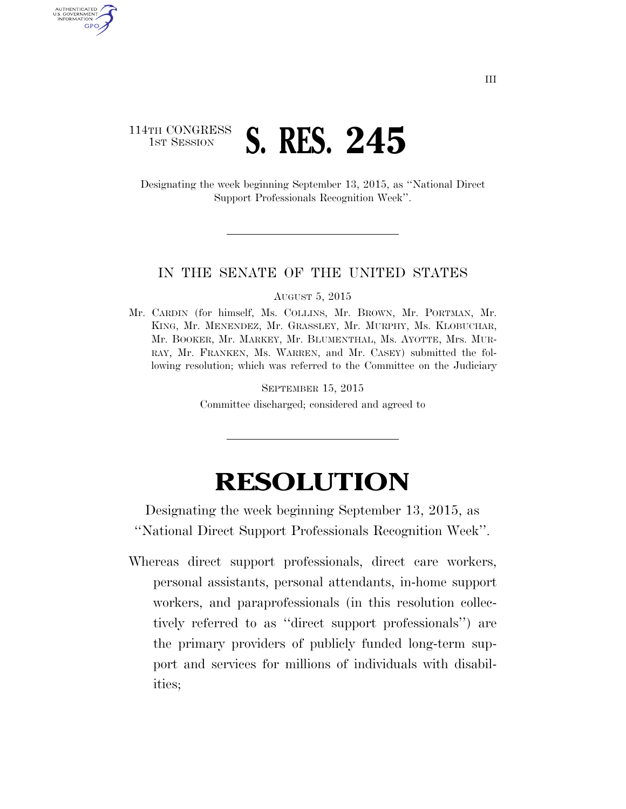## 114TH CONGRESS **1ST SESSION S. RES. 245**

AUTHENTICATED U.S. GOVERNMENT GPO

> Designating the week beginning September 13, 2015, as ''National Direct Support Professionals Recognition Week''.

## IN THE SENATE OF THE UNITED STATES

AUGUST 5, 2015

Mr. CARDIN (for himself, Ms. COLLINS, Mr. BROWN, Mr. PORTMAN, Mr. KING, Mr. MENENDEZ, Mr. GRASSLEY, Mr. MURPHY, Ms. KLOBUCHAR, Mr. BOOKER, Mr. MARKEY, Mr. BLUMENTHAL, Ms. AYOTTE, Mrs. MUR-RAY, Mr. FRANKEN, Ms. WARREN, and Mr. CASEY) submitted the following resolution; which was referred to the Committee on the Judiciary

> SEPTEMBER 15, 2015 Committee discharged; considered and agreed to

## **RESOLUTION**

Designating the week beginning September 13, 2015, as ''National Direct Support Professionals Recognition Week''.

Whereas direct support professionals, direct care workers, personal assistants, personal attendants, in-home support workers, and paraprofessionals (in this resolution collectively referred to as ''direct support professionals'') are the primary providers of publicly funded long-term support and services for millions of individuals with disabilities;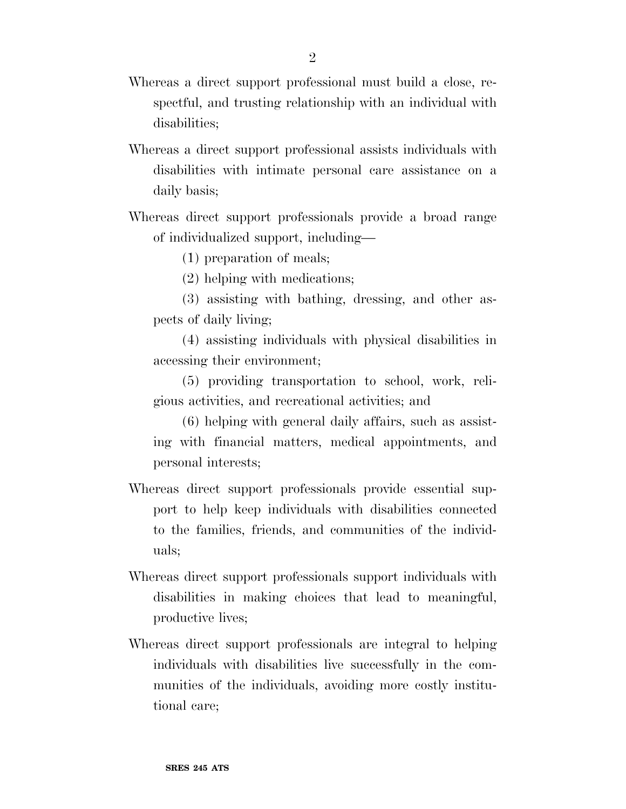- Whereas a direct support professional must build a close, respectful, and trusting relationship with an individual with disabilities;
- Whereas a direct support professional assists individuals with disabilities with intimate personal care assistance on a daily basis;
- Whereas direct support professionals provide a broad range of individualized support, including—

(1) preparation of meals;

(2) helping with medications;

(3) assisting with bathing, dressing, and other aspects of daily living;

(4) assisting individuals with physical disabilities in accessing their environment;

(5) providing transportation to school, work, religious activities, and recreational activities; and

(6) helping with general daily affairs, such as assisting with financial matters, medical appointments, and personal interests;

- Whereas direct support professionals provide essential support to help keep individuals with disabilities connected to the families, friends, and communities of the individuals;
- Whereas direct support professionals support individuals with disabilities in making choices that lead to meaningful, productive lives;
- Whereas direct support professionals are integral to helping individuals with disabilities live successfully in the communities of the individuals, avoiding more costly institutional care;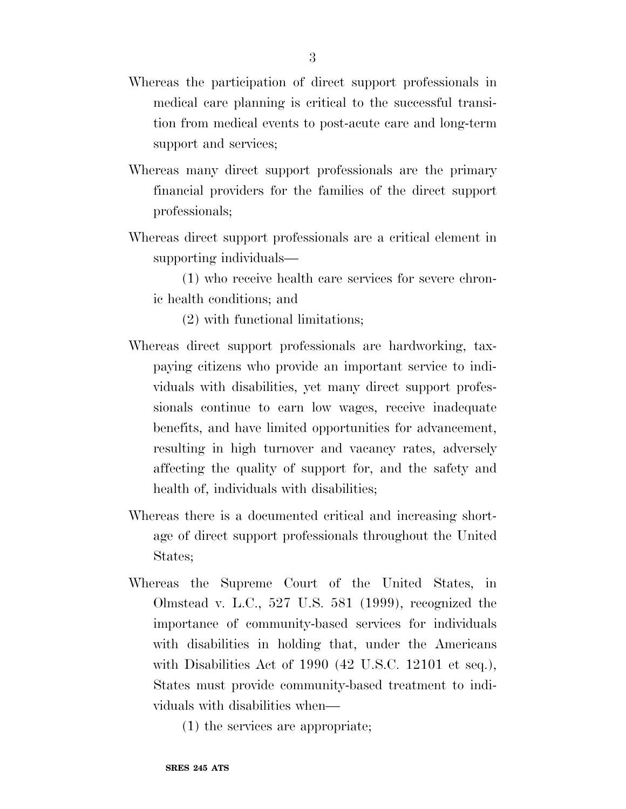- Whereas the participation of direct support professionals in medical care planning is critical to the successful transition from medical events to post-acute care and long-term support and services;
- Whereas many direct support professionals are the primary financial providers for the families of the direct support professionals;
- Whereas direct support professionals are a critical element in supporting individuals—

(1) who receive health care services for severe chronic health conditions; and

(2) with functional limitations;

- Whereas direct support professionals are hardworking, taxpaying citizens who provide an important service to individuals with disabilities, yet many direct support professionals continue to earn low wages, receive inadequate benefits, and have limited opportunities for advancement, resulting in high turnover and vacancy rates, adversely affecting the quality of support for, and the safety and health of, individuals with disabilities;
- Whereas there is a documented critical and increasing shortage of direct support professionals throughout the United States;
- Whereas the Supreme Court of the United States, in Olmstead v. L.C., 527 U.S. 581 (1999), recognized the importance of community-based services for individuals with disabilities in holding that, under the Americans with Disabilities Act of 1990 (42 U.S.C. 12101 et seq.), States must provide community-based treatment to individuals with disabilities when—

(1) the services are appropriate;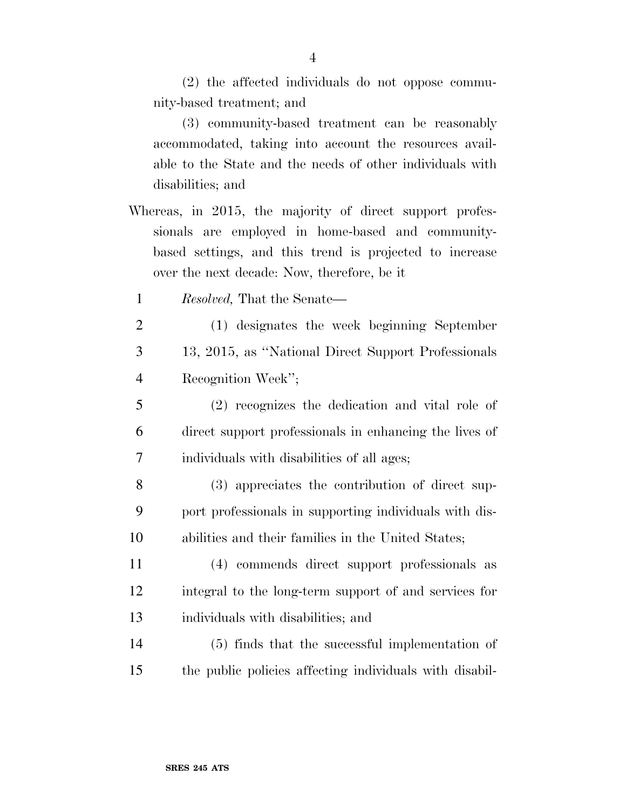(2) the affected individuals do not oppose community-based treatment; and

(3) community-based treatment can be reasonably accommodated, taking into account the resources available to the State and the needs of other individuals with disabilities; and

- Whereas, in 2015, the majority of direct support professionals are employed in home-based and communitybased settings, and this trend is projected to increase over the next decade: Now, therefore, be it
	- 1 *Resolved,* That the Senate—
	- 2 (1) designates the week beginning September 3 13, 2015, as ''National Direct Support Professionals 4 Recognition Week'';
- 5 (2) recognizes the dedication and vital role of 6 direct support professionals in enhancing the lives of 7 individuals with disabilities of all ages;
- 8 (3) appreciates the contribution of direct sup-9 port professionals in supporting individuals with dis-10 abilities and their families in the United States;
- 11 (4) commends direct support professionals as 12 integral to the long-term support of and services for 13 individuals with disabilities; and
- 14 (5) finds that the successful implementation of 15 the public policies affecting individuals with disabil-